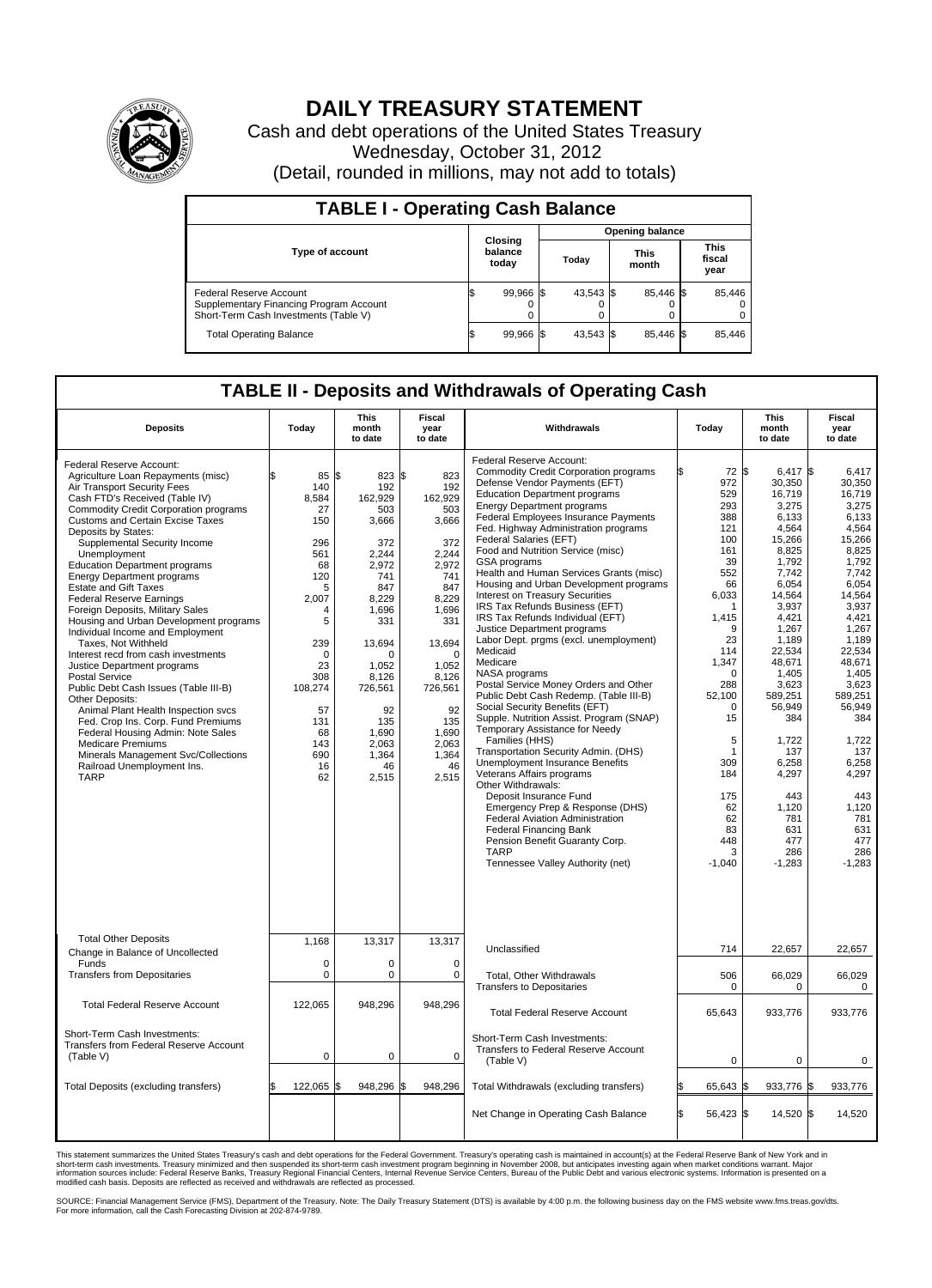

## **DAILY TREASURY STATEMENT**

Cash and debt operations of the United States Treasury Wednesday, October 31, 2012 (Detail, rounded in millions, may not add to totals)

| <b>TABLE I - Operating Cash Balance</b>                                                                     |                             |                 |                      |                         |  |  |  |  |
|-------------------------------------------------------------------------------------------------------------|-----------------------------|-----------------|----------------------|-------------------------|--|--|--|--|
|                                                                                                             |                             | Opening balance |                      |                         |  |  |  |  |
| Type of account                                                                                             | Closing<br>balance<br>today | Today           | <b>This</b><br>month |                         |  |  |  |  |
| Federal Reserve Account<br>Supplementary Financing Program Account<br>Short-Term Cash Investments (Table V) | 99,966 \$<br>0              | 43,543 \$       | 85.446 \$            | 85,446<br>$\Omega$<br>0 |  |  |  |  |
| <b>Total Operating Balance</b>                                                                              | 99,966 \$                   | 43,543 \$       | 85.446 \$            | 85,446                  |  |  |  |  |

## **TABLE II - Deposits and Withdrawals of Operating Cash**

| <b>Deposits</b>                                                                                                                                                                                                                                                                                                                                                                                                                                                                                                                                                                                                                                                                                                                                                                                                                                                                                                                                                                         | Todav                                                                                                                                                                      | This<br>month<br>to date                                                                                                                                                                                        | Fiscal<br>vear<br>to date                                                                                                                                                                                              | Withdrawals                                                                                                                                                                                                                                                                                                                                                                                                                                                                                                                                                                                                                                                                                                                                                                                                                                                                                                                                                                                                                                                                                                                                                                                                                                    | Todav                                                                                                                                                                                                                                        | This<br>month<br>to date                                                                                                                                                                                                                                                                                        | Fiscal<br>vear<br>to date                                                                                                                                                                                                                                                                                    |
|-----------------------------------------------------------------------------------------------------------------------------------------------------------------------------------------------------------------------------------------------------------------------------------------------------------------------------------------------------------------------------------------------------------------------------------------------------------------------------------------------------------------------------------------------------------------------------------------------------------------------------------------------------------------------------------------------------------------------------------------------------------------------------------------------------------------------------------------------------------------------------------------------------------------------------------------------------------------------------------------|----------------------------------------------------------------------------------------------------------------------------------------------------------------------------|-----------------------------------------------------------------------------------------------------------------------------------------------------------------------------------------------------------------|------------------------------------------------------------------------------------------------------------------------------------------------------------------------------------------------------------------------|------------------------------------------------------------------------------------------------------------------------------------------------------------------------------------------------------------------------------------------------------------------------------------------------------------------------------------------------------------------------------------------------------------------------------------------------------------------------------------------------------------------------------------------------------------------------------------------------------------------------------------------------------------------------------------------------------------------------------------------------------------------------------------------------------------------------------------------------------------------------------------------------------------------------------------------------------------------------------------------------------------------------------------------------------------------------------------------------------------------------------------------------------------------------------------------------------------------------------------------------|----------------------------------------------------------------------------------------------------------------------------------------------------------------------------------------------------------------------------------------------|-----------------------------------------------------------------------------------------------------------------------------------------------------------------------------------------------------------------------------------------------------------------------------------------------------------------|--------------------------------------------------------------------------------------------------------------------------------------------------------------------------------------------------------------------------------------------------------------------------------------------------------------|
| Federal Reserve Account:<br>Agriculture Loan Repayments (misc)<br>Air Transport Security Fees<br>Cash FTD's Received (Table IV)<br><b>Commodity Credit Corporation programs</b><br><b>Customs and Certain Excise Taxes</b><br>Deposits by States:<br>Supplemental Security Income<br>Unemployment<br><b>Education Department programs</b><br><b>Energy Department programs</b><br><b>Estate and Gift Taxes</b><br><b>Federal Reserve Earnings</b><br>Foreign Deposits, Military Sales<br>Housing and Urban Development programs<br>Individual Income and Employment<br>Taxes, Not Withheld<br>Interest recd from cash investments<br>Justice Department programs<br><b>Postal Service</b><br>Public Debt Cash Issues (Table III-B)<br>Other Deposits:<br>Animal Plant Health Inspection svcs<br>Fed. Crop Ins. Corp. Fund Premiums<br>Federal Housing Admin: Note Sales<br><b>Medicare Premiums</b><br>Minerals Management Svc/Collections<br>Railroad Unemployment Ins.<br><b>TARP</b> | 85<br>140<br>8,584<br>27<br>150<br>296<br>561<br>68<br>120<br>5<br>2,007<br>4<br>5<br>239<br>$\Omega$<br>23<br>308<br>108,274<br>57<br>131<br>68<br>143<br>690<br>16<br>62 | l\$<br>823<br>192<br>162,929<br>503<br>3,666<br>372<br>2.244<br>2,972<br>741<br>847<br>8,229<br>1.696<br>331<br>13,694<br>O<br>1,052<br>8.126<br>726,561<br>92<br>135<br>1,690<br>2,063<br>1.364<br>46<br>2,515 | l\$<br>823<br>192<br>162,929<br>503<br>3,666<br>372<br>2.244<br>2,972<br>741<br>847<br>8,229<br>1,696<br>331<br>13,694<br>$\Omega$<br>1,052<br>8.126<br>726,561<br>92<br>135<br>1,690<br>2,063<br>1.364<br>46<br>2,515 | Federal Reserve Account:<br><b>Commodity Credit Corporation programs</b><br>Defense Vendor Payments (EFT)<br><b>Education Department programs</b><br><b>Energy Department programs</b><br>Federal Employees Insurance Payments<br>Fed. Highway Administration programs<br>Federal Salaries (EFT)<br>Food and Nutrition Service (misc)<br>GSA programs<br>Health and Human Services Grants (misc)<br>Housing and Urban Development programs<br>Interest on Treasury Securities<br>IRS Tax Refunds Business (EFT)<br>IRS Tax Refunds Individual (EFT)<br>Justice Department programs<br>Labor Dept. prgms (excl. unemployment)<br>Medicaid<br>Medicare<br>NASA programs<br>Postal Service Money Orders and Other<br>Public Debt Cash Redemp. (Table III-B)<br>Social Security Benefits (EFT)<br>Supple. Nutrition Assist. Program (SNAP)<br>Temporary Assistance for Needy<br>Families (HHS)<br>Transportation Security Admin. (DHS)<br>Unemployment Insurance Benefits<br>Veterans Affairs programs<br>Other Withdrawals:<br>Deposit Insurance Fund<br>Emergency Prep & Response (DHS)<br>Federal Aviation Administration<br><b>Federal Financing Bank</b><br>Pension Benefit Guaranty Corp.<br><b>TARP</b><br>Tennessee Valley Authority (net) | 72 \$<br>972<br>529<br>293<br>388<br>121<br>100<br>161<br>39<br>552<br>66<br>6.033<br>1<br>1,415<br>9<br>23<br>114<br>1,347<br>$\Omega$<br>288<br>52.100<br>0<br>15<br>5<br>1<br>309<br>184<br>175<br>62<br>62<br>83<br>448<br>3<br>$-1.040$ | 6,417 \$<br>30,350<br>16,719<br>3,275<br>6.133<br>4,564<br>15,266<br>8,825<br>1,792<br>7,742<br>6,054<br>14.564<br>3,937<br>4.421<br>1,267<br>1,189<br>22,534<br>48.671<br>1,405<br>3,623<br>589.251<br>56,949<br>384<br>1,722<br>137<br>6.258<br>4,297<br>443<br>1,120<br>781<br>631<br>477<br>286<br>$-1,283$ | 6,417<br>30,350<br>16.719<br>3,275<br>6.133<br>4.564<br>15,266<br>8,825<br>1.792<br>7,742<br>6,054<br>14.564<br>3,937<br>4.421<br>1,267<br>1.189<br>22,534<br>48.671<br>1,405<br>3,623<br>589.251<br>56,949<br>384<br>1,722<br>137<br>6.258<br>4,297<br>443<br>1,120<br>781<br>631<br>477<br>286<br>$-1.283$ |
| <b>Total Other Deposits</b><br>Change in Balance of Uncollected<br>Funds<br><b>Transfers from Depositaries</b>                                                                                                                                                                                                                                                                                                                                                                                                                                                                                                                                                                                                                                                                                                                                                                                                                                                                          | 1,168<br>0<br>0                                                                                                                                                            | 13,317<br>$\mathbf 0$<br>$\mathbf 0$                                                                                                                                                                            | 13,317<br>$\mathbf 0$<br>0                                                                                                                                                                                             | Unclassified<br>Total, Other Withdrawals                                                                                                                                                                                                                                                                                                                                                                                                                                                                                                                                                                                                                                                                                                                                                                                                                                                                                                                                                                                                                                                                                                                                                                                                       | 714<br>506                                                                                                                                                                                                                                   | 22,657<br>66,029                                                                                                                                                                                                                                                                                                | 22,657<br>66,029                                                                                                                                                                                                                                                                                             |
| <b>Total Federal Reserve Account</b>                                                                                                                                                                                                                                                                                                                                                                                                                                                                                                                                                                                                                                                                                                                                                                                                                                                                                                                                                    | 122,065                                                                                                                                                                    | 948,296                                                                                                                                                                                                         | 948,296                                                                                                                                                                                                                | <b>Transfers to Depositaries</b>                                                                                                                                                                                                                                                                                                                                                                                                                                                                                                                                                                                                                                                                                                                                                                                                                                                                                                                                                                                                                                                                                                                                                                                                               | 0                                                                                                                                                                                                                                            | $\mathbf 0$                                                                                                                                                                                                                                                                                                     | $\mathbf 0$                                                                                                                                                                                                                                                                                                  |
| Short-Term Cash Investments:                                                                                                                                                                                                                                                                                                                                                                                                                                                                                                                                                                                                                                                                                                                                                                                                                                                                                                                                                            |                                                                                                                                                                            |                                                                                                                                                                                                                 |                                                                                                                                                                                                                        | <b>Total Federal Reserve Account</b><br>Short-Term Cash Investments:                                                                                                                                                                                                                                                                                                                                                                                                                                                                                                                                                                                                                                                                                                                                                                                                                                                                                                                                                                                                                                                                                                                                                                           | 65,643                                                                                                                                                                                                                                       | 933,776                                                                                                                                                                                                                                                                                                         | 933,776                                                                                                                                                                                                                                                                                                      |
| Transfers from Federal Reserve Account<br>(Table V)                                                                                                                                                                                                                                                                                                                                                                                                                                                                                                                                                                                                                                                                                                                                                                                                                                                                                                                                     | $\mathbf 0$                                                                                                                                                                | $\mathbf 0$                                                                                                                                                                                                     | $\mathbf 0$                                                                                                                                                                                                            | Transfers to Federal Reserve Account<br>(Table V)                                                                                                                                                                                                                                                                                                                                                                                                                                                                                                                                                                                                                                                                                                                                                                                                                                                                                                                                                                                                                                                                                                                                                                                              | $\mathbf 0$                                                                                                                                                                                                                                  | 0                                                                                                                                                                                                                                                                                                               | 0                                                                                                                                                                                                                                                                                                            |
| Total Deposits (excluding transfers)                                                                                                                                                                                                                                                                                                                                                                                                                                                                                                                                                                                                                                                                                                                                                                                                                                                                                                                                                    | 122,065                                                                                                                                                                    | 948,296<br>l\$                                                                                                                                                                                                  | 948,296                                                                                                                                                                                                                | Total Withdrawals (excluding transfers)                                                                                                                                                                                                                                                                                                                                                                                                                                                                                                                                                                                                                                                                                                                                                                                                                                                                                                                                                                                                                                                                                                                                                                                                        | 65,643 \$                                                                                                                                                                                                                                    | 933,776 \$                                                                                                                                                                                                                                                                                                      | 933,776                                                                                                                                                                                                                                                                                                      |
|                                                                                                                                                                                                                                                                                                                                                                                                                                                                                                                                                                                                                                                                                                                                                                                                                                                                                                                                                                                         |                                                                                                                                                                            |                                                                                                                                                                                                                 |                                                                                                                                                                                                                        | Net Change in Operating Cash Balance                                                                                                                                                                                                                                                                                                                                                                                                                                                                                                                                                                                                                                                                                                                                                                                                                                                                                                                                                                                                                                                                                                                                                                                                           | 56,423 \$<br>l\$                                                                                                                                                                                                                             | 14,520 \$                                                                                                                                                                                                                                                                                                       | 14,520                                                                                                                                                                                                                                                                                                       |

This statement summarizes the United States Treasury's cash and debt operations for the Federal Government. Treasury's operating cash is maintained in account(s) at the Federal Reserve Bank of New York and in<br>short-term ca

SOURCE: Financial Management Service (FMS), Department of the Treasury. Note: The Daily Treasury Statement (DTS) is available by 4:00 p.m. the following business day on the FMS website www.fms.treas.gov/dts.<br>For more infor